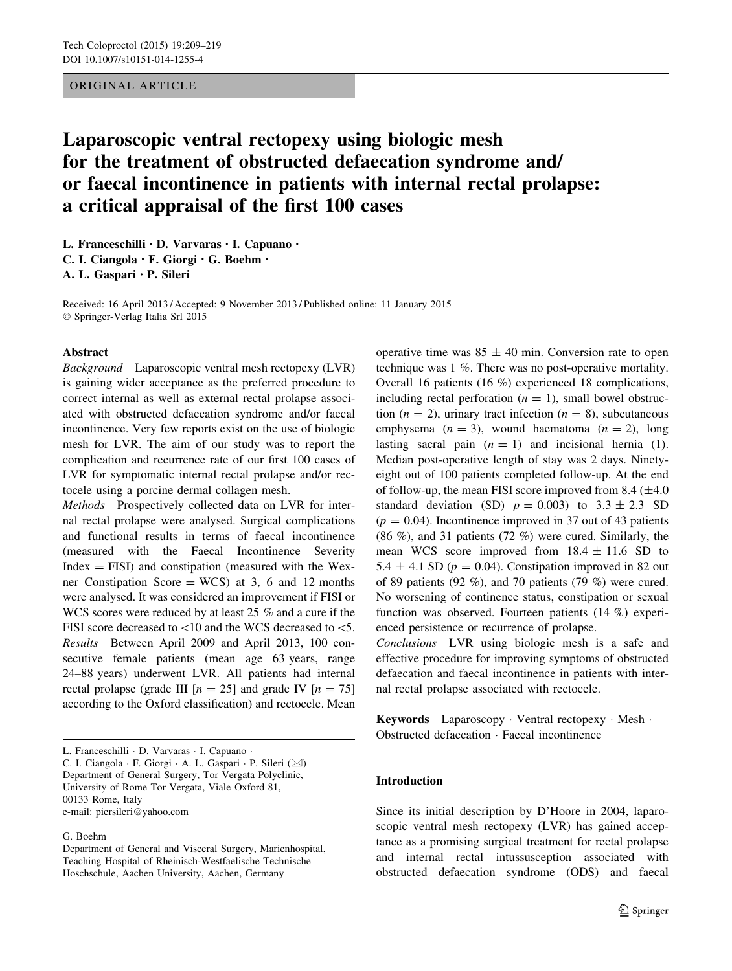# ORIGINAL ARTICLE

# Laparoscopic ventral rectopexy using biologic mesh for the treatment of obstructed defaecation syndrome and/ or faecal incontinence in patients with internal rectal prolapse: a critical appraisal of the first 100 cases

L. Franceschilli • D. Varvaras • I. Capuano • C. I. Ciangola • F. Giorgi • G. Boehm • A. L. Gaspari • P. Sileri

Received: 16 April 2013 / Accepted: 9 November 2013 / Published online: 11 January 2015 - Springer-Verlag Italia Srl 2015

# Abstract

Background Laparoscopic ventral mesh rectopexy (LVR) is gaining wider acceptance as the preferred procedure to correct internal as well as external rectal prolapse associated with obstructed defaecation syndrome and/or faecal incontinence. Very few reports exist on the use of biologic mesh for LVR. The aim of our study was to report the complication and recurrence rate of our first 100 cases of LVR for symptomatic internal rectal prolapse and/or rectocele using a porcine dermal collagen mesh.

Methods Prospectively collected data on LVR for internal rectal prolapse were analysed. Surgical complications and functional results in terms of faecal incontinence (measured with the Faecal Incontinence Severity  $Index = FISI$ ) and constipation (measured with the Wexner Constipation Score = WCS) at 3, 6 and 12 months were analysed. It was considered an improvement if FISI or WCS scores were reduced by at least 25 % and a cure if the FISI score decreased to  $\lt 10$  and the WCS decreased to  $\lt 5$ . Results Between April 2009 and April 2013, 100 consecutive female patients (mean age 63 years, range 24–88 years) underwent LVR. All patients had internal rectal prolapse (grade III  $[n = 25]$  and grade IV  $[n = 75]$ according to the Oxford classification) and rectocele. Mean

C. I. Ciangola · F. Giorgi · A. L. Gaspari · P. Sileri (⊠) Department of General Surgery, Tor Vergata Polyclinic, University of Rome Tor Vergata, Viale Oxford 81, 00133 Rome, Italy

e-mail: piersileri@yahoo.com

#### G. Boehm

operative time was  $85 \pm 40$  min. Conversion rate to open technique was 1 %. There was no post-operative mortality. Overall 16 patients (16 %) experienced 18 complications, including rectal perforation  $(n = 1)$ , small bowel obstruction ( $n = 2$ ), urinary tract infection ( $n = 8$ ), subcutaneous emphysema  $(n = 3)$ , wound haematoma  $(n = 2)$ , long lasting sacral pain  $(n = 1)$  and incisional hernia (1). Median post-operative length of stay was 2 days. Ninetyeight out of 100 patients completed follow-up. At the end of follow-up, the mean FISI score improved from  $8.4$  ( $\pm 4.0$ ) standard deviation (SD)  $p = 0.003$ ) to  $3.3 \pm 2.3$  SD  $(p = 0.04)$ . Incontinence improved in 37 out of 43 patients (86 %), and 31 patients (72 %) were cured. Similarly, the mean WCS score improved from  $18.4 \pm 11.6$  SD to 5.4  $\pm$  4.1 SD ( $p = 0.04$ ). Constipation improved in 82 out of 89 patients (92 %), and 70 patients (79 %) were cured. No worsening of continence status, constipation or sexual function was observed. Fourteen patients (14 %) experienced persistence or recurrence of prolapse.

Conclusions LVR using biologic mesh is a safe and effective procedure for improving symptoms of obstructed defaecation and faecal incontinence in patients with internal rectal prolapse associated with rectocele.

Keywords Laparoscopy - Ventral rectopexy - Mesh - Obstructed defaecation - Faecal incontinence

## Introduction

Since its initial description by D'Hoore in 2004, laparoscopic ventral mesh rectopexy (LVR) has gained acceptance as a promising surgical treatment for rectal prolapse and internal rectal intussusception associated with obstructed defaecation syndrome (ODS) and faecal

L. Franceschilli · D. Varvaras · I. Capuano ·

Department of General and Visceral Surgery, Marienhospital, Teaching Hospital of Rheinisch-Westfaelische Technische Hoschschule, Aachen University, Aachen, Germany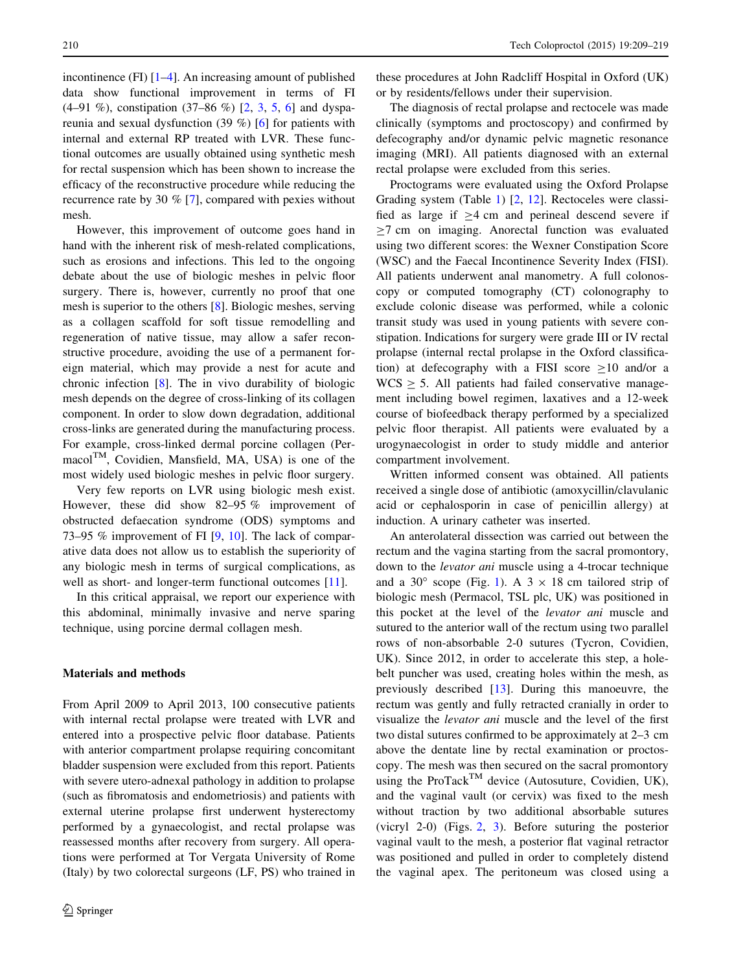incontinence (FI) [[1–4\]](#page-9-0). An increasing amount of published data show functional improvement in terms of FI (4–91 %), constipation (37–86 %) [[2,](#page-9-0) [3,](#page-9-0) [5,](#page-9-0) [6](#page-9-0)] and dyspareunia and sexual dysfunction (39 %) [[6\]](#page-9-0) for patients with internal and external RP treated with LVR. These functional outcomes are usually obtained using synthetic mesh for rectal suspension which has been shown to increase the efficacy of the reconstructive procedure while reducing the recurrence rate by 30 % [\[7](#page-9-0)], compared with pexies without mesh.

However, this improvement of outcome goes hand in hand with the inherent risk of mesh-related complications, such as erosions and infections. This led to the ongoing debate about the use of biologic meshes in pelvic floor surgery. There is, however, currently no proof that one mesh is superior to the others [[8\]](#page-9-0). Biologic meshes, serving as a collagen scaffold for soft tissue remodelling and regeneration of native tissue, may allow a safer reconstructive procedure, avoiding the use of a permanent foreign material, which may provide a nest for acute and chronic infection [\[8](#page-9-0)]. The in vivo durability of biologic mesh depends on the degree of cross-linking of its collagen component. In order to slow down degradation, additional cross-links are generated during the manufacturing process. For example, cross-linked dermal porcine collagen (Per $macol<sup>TM</sup>$ , Covidien, Mansfield, MA, USA) is one of the most widely used biologic meshes in pelvic floor surgery.

Very few reports on LVR using biologic mesh exist. However, these did show 82–95 % improvement of obstructed defaecation syndrome (ODS) symptoms and 73–95 % improvement of FI [[9,](#page-9-0) [10\]](#page-9-0). The lack of comparative data does not allow us to establish the superiority of any biologic mesh in terms of surgical complications, as well as short- and longer-term functional outcomes [\[11](#page-9-0)].

In this critical appraisal, we report our experience with this abdominal, minimally invasive and nerve sparing technique, using porcine dermal collagen mesh.

## Materials and methods

From April 2009 to April 2013, 100 consecutive patients with internal rectal prolapse were treated with LVR and entered into a prospective pelvic floor database. Patients with anterior compartment prolapse requiring concomitant bladder suspension were excluded from this report. Patients with severe utero-adnexal pathology in addition to prolapse (such as fibromatosis and endometriosis) and patients with external uterine prolapse first underwent hysterectomy performed by a gynaecologist, and rectal prolapse was reassessed months after recovery from surgery. All operations were performed at Tor Vergata University of Rome (Italy) by two colorectal surgeons (LF, PS) who trained in

these procedures at John Radcliff Hospital in Oxford (UK) or by residents/fellows under their supervision.

The diagnosis of rectal prolapse and rectocele was made clinically (symptoms and proctoscopy) and confirmed by defecography and/or dynamic pelvic magnetic resonance imaging (MRI). All patients diagnosed with an external rectal prolapse were excluded from this series.

Proctograms were evaluated using the Oxford Prolapse Grading system (Table [1](#page-2-0)) [\[2](#page-9-0), [12](#page-9-0)]. Rectoceles were classified as large if  $\geq$ 4 cm and perineal descend severe if  $>7$  cm on imaging. Anorectal function was evaluated using two different scores: the Wexner Constipation Score (WSC) and the Faecal Incontinence Severity Index (FISI). All patients underwent anal manometry. A full colonoscopy or computed tomography (CT) colonography to exclude colonic disease was performed, while a colonic transit study was used in young patients with severe constipation. Indications for surgery were grade III or IV rectal prolapse (internal rectal prolapse in the Oxford classification) at defecography with a FISI score  $\geq 10$  and/or a  $WCS > 5$ . All patients had failed conservative management including bowel regimen, laxatives and a 12-week course of biofeedback therapy performed by a specialized pelvic floor therapist. All patients were evaluated by a urogynaecologist in order to study middle and anterior compartment involvement.

Written informed consent was obtained. All patients received a single dose of antibiotic (amoxycillin/clavulanic acid or cephalosporin in case of penicillin allergy) at induction. A urinary catheter was inserted.

An anterolateral dissection was carried out between the rectum and the vagina starting from the sacral promontory, down to the levator ani muscle using a 4-trocar technique and a 30 $\degree$  scope (Fig. [1](#page-2-0)). A 3  $\times$  18 cm tailored strip of biologic mesh (Permacol, TSL plc, UK) was positioned in this pocket at the level of the levator ani muscle and sutured to the anterior wall of the rectum using two parallel rows of non-absorbable 2-0 sutures (Tycron, Covidien, UK). Since 2012, in order to accelerate this step, a holebelt puncher was used, creating holes within the mesh, as previously described [\[13](#page-9-0)]. During this manoeuvre, the rectum was gently and fully retracted cranially in order to visualize the levator ani muscle and the level of the first two distal sutures confirmed to be approximately at 2–3 cm above the dentate line by rectal examination or proctoscopy. The mesh was then secured on the sacral promontory using the ProTack<sup>TM</sup> device (Autosuture, Covidien, UK), and the vaginal vault (or cervix) was fixed to the mesh without traction by two additional absorbable sutures (vicryl 2-0) (Figs. [2,](#page-2-0) [3](#page-2-0)). Before suturing the posterior vaginal vault to the mesh, a posterior flat vaginal retractor was positioned and pulled in order to completely distend the vaginal apex. The peritoneum was closed using a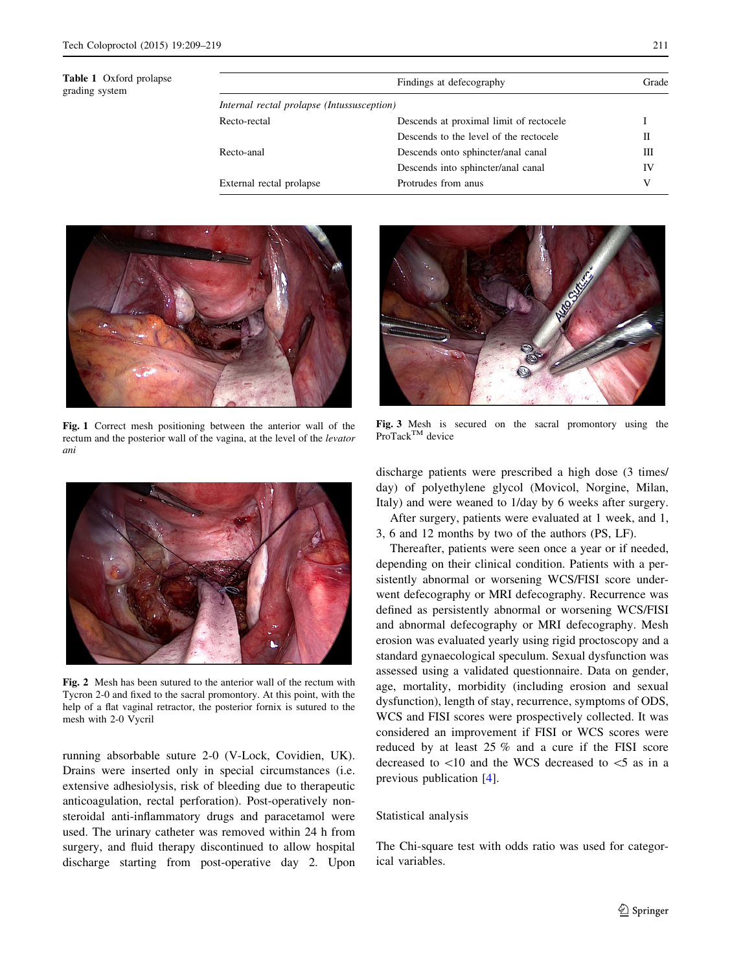<span id="page-2-0"></span>

| <b>Table 1</b> Oxford prolapse<br>grading system |                                            | Findings at defecography                | Grade |  |
|--------------------------------------------------|--------------------------------------------|-----------------------------------------|-------|--|
|                                                  | Internal rectal prolapse (Intussusception) |                                         |       |  |
|                                                  | Recto-rectal                               | Descends at proximal limit of rectocele |       |  |
|                                                  |                                            | Descends to the level of the rectocele  | П     |  |
|                                                  | Recto-anal                                 | Descends onto sphincter/anal canal      | Ш     |  |
|                                                  |                                            | Descends into sphincter/anal canal      | IV    |  |
|                                                  | External rectal prolapse                   | Protrudes from anus                     | V     |  |



Fig. 1 Correct mesh positioning between the anterior wall of the rectum and the posterior wall of the vagina, at the level of the levator ani



Fig. 2 Mesh has been sutured to the anterior wall of the rectum with Tycron 2-0 and fixed to the sacral promontory. At this point, with the help of a flat vaginal retractor, the posterior fornix is sutured to the mesh with 2-0 Vycril

running absorbable suture 2-0 (V-Lock, Covidien, UK). Drains were inserted only in special circumstances (i.e. extensive adhesiolysis, risk of bleeding due to therapeutic anticoagulation, rectal perforation). Post-operatively nonsteroidal anti-inflammatory drugs and paracetamol were used. The urinary catheter was removed within 24 h from surgery, and fluid therapy discontinued to allow hospital discharge starting from post-operative day 2. Upon



Fig. 3 Mesh is secured on the sacral promontory using the ProTack<sup>™</sup> device

discharge patients were prescribed a high dose (3 times/ day) of polyethylene glycol (Movicol, Norgine, Milan, Italy) and were weaned to 1/day by 6 weeks after surgery.

After surgery, patients were evaluated at 1 week, and 1, 3, 6 and 12 months by two of the authors (PS, LF).

Thereafter, patients were seen once a year or if needed, depending on their clinical condition. Patients with a persistently abnormal or worsening WCS/FISI score underwent defecography or MRI defecography. Recurrence was defined as persistently abnormal or worsening WCS/FISI and abnormal defecography or MRI defecography. Mesh erosion was evaluated yearly using rigid proctoscopy and a standard gynaecological speculum. Sexual dysfunction was assessed using a validated questionnaire. Data on gender, age, mortality, morbidity (including erosion and sexual dysfunction), length of stay, recurrence, symptoms of ODS, WCS and FISI scores were prospectively collected. It was considered an improvement if FISI or WCS scores were reduced by at least 25 % and a cure if the FISI score decreased to  $\lt 10$  and the WCS decreased to  $\lt 5$  as in a previous publication [[4\]](#page-9-0).

# Statistical analysis

The Chi-square test with odds ratio was used for categorical variables.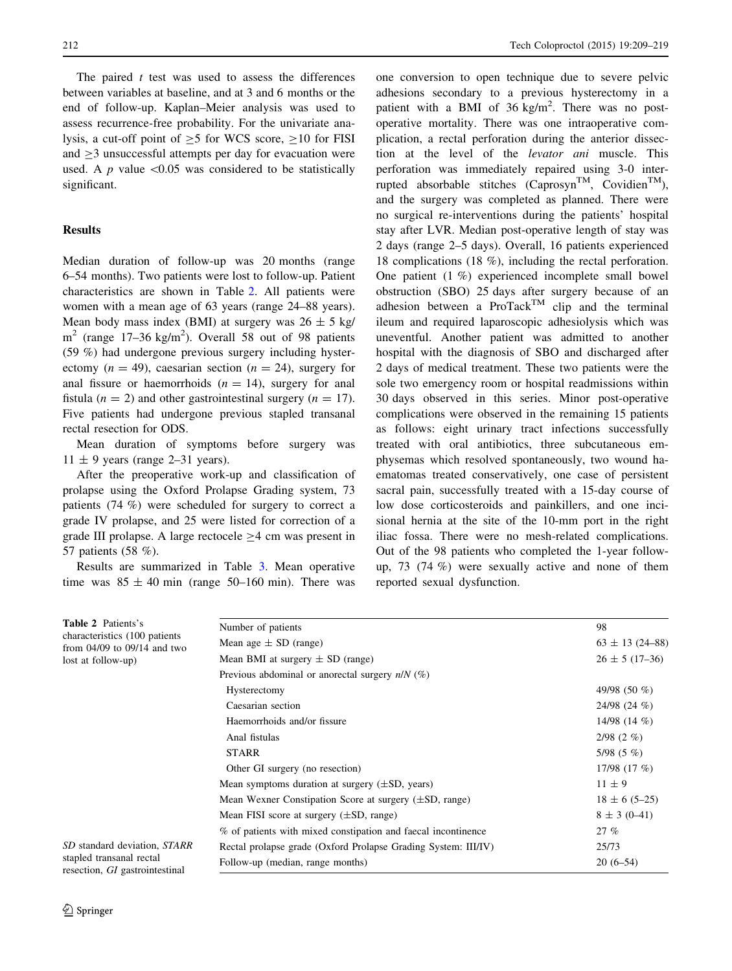The paired  $t$  test was used to assess the differences between variables at baseline, and at 3 and 6 months or the end of follow-up. Kaplan–Meier analysis was used to assess recurrence-free probability. For the univariate analysis, a cut-off point of  $>5$  for WCS score,  $>10$  for FISI and  $>$ 3 unsuccessful attempts per day for evacuation were used. A p value  $\leq 0.05$  was considered to be statistically significant.

# Results

Median duration of follow-up was 20 months (range 6–54 months). Two patients were lost to follow-up. Patient characteristics are shown in Table 2. All patients were women with a mean age of 63 years (range 24–88 years). Mean body mass index (BMI) at surgery was  $26 \pm 5$  kg/  $m<sup>2</sup>$  (range 17–36 kg/m<sup>2</sup>). Overall 58 out of 98 patients (59 %) had undergone previous surgery including hysterectomy ( $n = 49$ ), caesarian section ( $n = 24$ ), surgery for anal fissure or haemorrhoids  $(n = 14)$ , surgery for anal fistula ( $n = 2$ ) and other gastrointestinal surgery ( $n = 17$ ). Five patients had undergone previous stapled transanal rectal resection for ODS.

Mean duration of symptoms before surgery was  $11 \pm 9$  years (range 2–31 years).

After the preoperative work-up and classification of prolapse using the Oxford Prolapse Grading system, 73 patients (74 %) were scheduled for surgery to correct a grade IV prolapse, and 25 were listed for correction of a grade III prolapse. A large rectocele  $\geq$ 4 cm was present in 57 patients (58 %).

Results are summarized in Table [3.](#page-4-0) Mean operative time was  $85 \pm 40$  min (range 50–160 min). There was one conversion to open technique due to severe pelvic adhesions secondary to a previous hysterectomy in a patient with a BMI of  $36 \text{ kg/m}^2$ . There was no postoperative mortality. There was one intraoperative complication, a rectal perforation during the anterior dissection at the level of the levator ani muscle. This perforation was immediately repaired using 3-0 interrupted absorbable stitches  $(Caprosyn^{TM}, Covidian^{TM})$ , and the surgery was completed as planned. There were no surgical re-interventions during the patients' hospital stay after LVR. Median post-operative length of stay was 2 days (range 2–5 days). Overall, 16 patients experienced 18 complications (18 %), including the rectal perforation. One patient (1 %) experienced incomplete small bowel obstruction (SBO) 25 days after surgery because of an adhesion between a  $ProTask^{TM}$  clip and the terminal ileum and required laparoscopic adhesiolysis which was uneventful. Another patient was admitted to another hospital with the diagnosis of SBO and discharged after 2 days of medical treatment. These two patients were the sole two emergency room or hospital readmissions within 30 days observed in this series. Minor post-operative complications were observed in the remaining 15 patients as follows: eight urinary tract infections successfully treated with oral antibiotics, three subcutaneous emphysemas which resolved spontaneously, two wound haematomas treated conservatively, one case of persistent sacral pain, successfully treated with a 15-day course of low dose corticosteroids and painkillers, and one incisional hernia at the site of the 10-mm port in the right iliac fossa. There were no mesh-related complications. Out of the 98 patients who completed the 1-year followup, 73 (74 %) were sexually active and none of them reported sexual dysfunction.

| <b>Table 2</b> Patients's                                                           | Number of patients                                                 | 98                  |
|-------------------------------------------------------------------------------------|--------------------------------------------------------------------|---------------------|
| characteristics (100 patients)<br>from 04/09 to 09/14 and two<br>lost at follow-up) | Mean age $\pm$ SD (range)                                          | $63 \pm 13$ (24-88) |
|                                                                                     | Mean BMI at surgery $\pm$ SD (range)                               | $26 \pm 5(17-36)$   |
|                                                                                     | Previous abdominal or anorectal surgery $n/N$ (%)                  |                     |
|                                                                                     | Hysterectomy                                                       | 49/98 (50 %)        |
|                                                                                     | Caesarian section                                                  | $24/98$ (24 %)      |
|                                                                                     | Haemorrhoids and/or fissure                                        | 14/98 $(14 \%)$     |
|                                                                                     | Anal fistulas                                                      | $2/98$ (2 %)        |
|                                                                                     | <b>STARR</b>                                                       | $5/98(5\%)$         |
|                                                                                     | Other GI surgery (no resection)                                    | 17/98 $(17 \%)$     |
|                                                                                     | Mean symptoms duration at surgery $(\pm SD, \text{years})$         | $11 \pm 9$          |
|                                                                                     | Mean Wexner Constipation Score at surgery $(\pm SD, \text{range})$ | $18 \pm 6$ (5-25)   |
|                                                                                     | Mean FISI score at surgery $(\pm SD, \text{range})$                | $8 \pm 3(0-41)$     |
|                                                                                     | % of patients with mixed constipation and faecal incontinence      | 27%                 |
| SD standard deviation, STARR<br>stapled transanal rectal                            | Rectal prolapse grade (Oxford Prolapse Grading System: III/IV)     | 25/73               |
|                                                                                     | Follow-up (median, range months)                                   | $20(6-54)$          |
| resection, GI gastrointestinal                                                      |                                                                    |                     |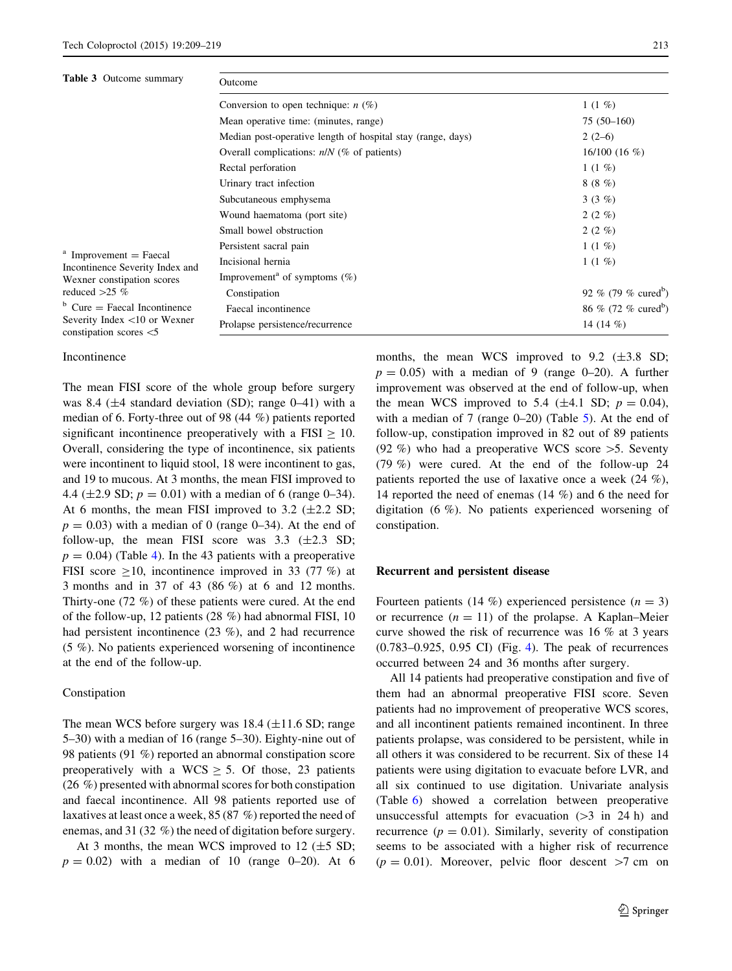<span id="page-4-0"></span>

| <b>Table 3</b> Outcome summary<br>$^{\rm a}$ Improvement = Faecal<br>Incontinence Severity Index and<br>Wexner constipation scores<br>reduced $>25$ %<br>$b$ Cure = Faecal Incontinence<br>Severity Index $\langle 10 \text{ or Wexner} \rangle$<br>constipation scores $<$ 5 | Outcome                                                     |                                 |  |  |
|-------------------------------------------------------------------------------------------------------------------------------------------------------------------------------------------------------------------------------------------------------------------------------|-------------------------------------------------------------|---------------------------------|--|--|
|                                                                                                                                                                                                                                                                               | Conversion to open technique: $n$ (%)<br>1 $(1 \%)$         |                                 |  |  |
|                                                                                                                                                                                                                                                                               | Mean operative time: (minutes, range)                       | $75(50-160)$                    |  |  |
|                                                                                                                                                                                                                                                                               | Median post-operative length of hospital stay (range, days) | $2(2-6)$                        |  |  |
|                                                                                                                                                                                                                                                                               | Overall complications: $n/N$ (% of patients)                | $16/100(16\%)$                  |  |  |
|                                                                                                                                                                                                                                                                               | Rectal perforation                                          | 1 $(1 \%)$                      |  |  |
|                                                                                                                                                                                                                                                                               | Urinary tract infection                                     | 8(8%)                           |  |  |
|                                                                                                                                                                                                                                                                               | Subcutaneous emphysema                                      | 3 $(3 \%)$                      |  |  |
|                                                                                                                                                                                                                                                                               | Wound haematoma (port site)                                 | $2(2\%)$                        |  |  |
|                                                                                                                                                                                                                                                                               | Small bowel obstruction                                     | $2(2\%)$                        |  |  |
|                                                                                                                                                                                                                                                                               | Persistent sacral pain                                      | 1 $(1 \%)$                      |  |  |
|                                                                                                                                                                                                                                                                               | Incisional hernia                                           | $1(1\%)$                        |  |  |
|                                                                                                                                                                                                                                                                               | Improvement <sup>a</sup> of symptoms $(\%)$                 |                                 |  |  |
|                                                                                                                                                                                                                                                                               | Constipation                                                | 92 % (79 % cured <sup>b</sup> ) |  |  |
|                                                                                                                                                                                                                                                                               | Faecal incontinence                                         | 86 % (72 % cured <sup>b</sup> ) |  |  |
|                                                                                                                                                                                                                                                                               | Prolapse persistence/recurrence                             | 14 $(14\%)$                     |  |  |

Incontinence

The mean FISI score of the whole group before surgery was 8.4 ( $\pm$ 4 standard deviation (SD); range 0–41) with a median of 6. Forty-three out of 98 (44 %) patients reported significant incontinence preoperatively with a FISI  $\geq$  10. Overall, considering the type of incontinence, six patients were incontinent to liquid stool, 18 were incontinent to gas, and 19 to mucous. At 3 months, the mean FISI improved to 4.4 ( $\pm$ 2.9 SD;  $p = 0.01$ ) with a median of 6 (range 0–34). At 6 months, the mean FISI improved to 3.2  $(\pm 2.2$  SD;  $p = 0.03$ ) with a median of 0 (range 0–34). At the end of follow-up, the mean FISI score was  $3.3$  ( $\pm 2.3$  SD;  $p = 0.04$  $p = 0.04$ ) (Table 4). In the 43 patients with a preoperative FISI score  $>10$ , incontinence improved in 33 (77 %) at 3 months and in 37 of 43 (86 %) at 6 and 12 months. Thirty-one (72 %) of these patients were cured. At the end of the follow-up, 12 patients (28 %) had abnormal FISI, 10 had persistent incontinence (23 %), and 2 had recurrence (5 %). No patients experienced worsening of incontinence at the end of the follow-up.

#### Constipation

The mean WCS before surgery was  $18.4 \ (\pm 11.6 \ SD; \text{range})$ 5–30) with a median of 16 (range 5–30). Eighty-nine out of 98 patients (91 %) reported an abnormal constipation score preoperatively with a WCS  $\geq$  5. Of those, 23 patients (26 %) presented with abnormal scores for both constipation and faecal incontinence. All 98 patients reported use of laxatives at least once a week, 85 (87 %) reported the need of enemas, and 31 (32 %) the need of digitation before surgery.

At 3 months, the mean WCS improved to 12  $(\pm 5 \text{ SD})$ ;  $p = 0.02$ ) with a median of 10 (range 0–20). At 6 months, the mean WCS improved to  $9.2$  ( $\pm 3.8$  SD;  $p = 0.05$ ) with a median of 9 (range 0–20). A further improvement was observed at the end of follow-up, when the mean WCS improved to 5.4 ( $\pm$ 4.1 SD;  $p = 0.04$ ), with a median of 7 (range  $0-20$ ) (Table [5](#page-5-0)). At the end of follow-up, constipation improved in 82 out of 89 patients (92 %) who had a preoperative WCS score  $>5$ . Seventy (79 %) were cured. At the end of the follow-up 24 patients reported the use of laxative once a week (24 %), 14 reported the need of enemas (14 %) and 6 the need for digitation (6 %). No patients experienced worsening of constipation.

#### Recurrent and persistent disease

Fourteen patients (14 %) experienced persistence ( $n = 3$ ) or recurrence  $(n = 11)$  of the prolapse. A Kaplan–Meier curve showed the risk of recurrence was 16 % at 3 years (0.783–0.925, 0.95 CI) (Fig. [4\)](#page-5-0). The peak of recurrences occurred between 24 and 36 months after surgery.

All 14 patients had preoperative constipation and five of them had an abnormal preoperative FISI score. Seven patients had no improvement of preoperative WCS scores, and all incontinent patients remained incontinent. In three patients prolapse, was considered to be persistent, while in all others it was considered to be recurrent. Six of these 14 patients were using digitation to evacuate before LVR, and all six continued to use digitation. Univariate analysis (Table [6\)](#page-6-0) showed a correlation between preoperative unsuccessful attempts for evacuation  $(>3$  in 24 h) and recurrence ( $p = 0.01$ ). Similarly, severity of constipation seems to be associated with a higher risk of recurrence  $(p = 0.01)$ . Moreover, pelvic floor descent  $>7$  cm on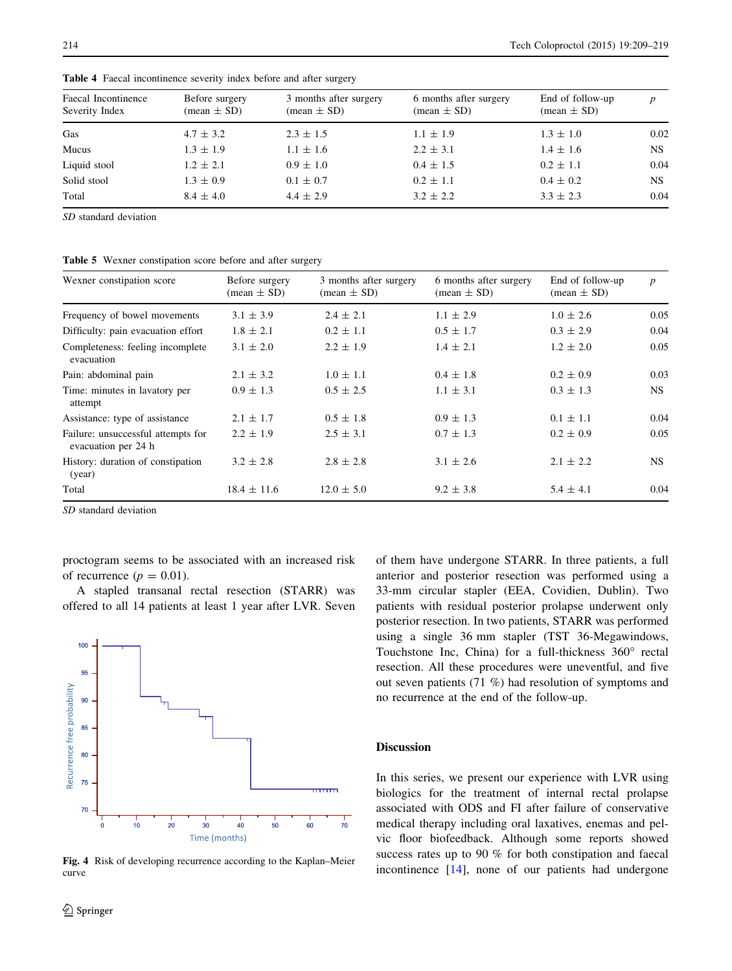| Faecal Incontinence<br>Severity Index | Before surgery<br>$mean \pm SD$ | 3 months after surgery<br>$mean \pm SD$ | 6 months after surgery<br>$(\text{mean} \pm \text{SD})$ | End of follow-up<br>$(\text{mean} \pm \text{SD})$ | $\boldsymbol{p}$ |
|---------------------------------------|---------------------------------|-----------------------------------------|---------------------------------------------------------|---------------------------------------------------|------------------|
| Gas                                   | $4.7 \pm 3.2$                   | $2.3 \pm 1.5$                           | $1.1 \pm 1.9$                                           | $1.3 \pm 1.0$                                     | 0.02             |
| Mucus                                 | $1.3 \pm 1.9$                   | $1.1 \pm 1.6$                           | $2.2 \pm 3.1$                                           | $1.4 \pm 1.6$                                     | <b>NS</b>        |
| Liquid stool                          | $1.2 \pm 2.1$                   | $0.9 \pm 1.0$                           | $0.4 \pm 1.5$                                           | $0.2 \pm 1.1$                                     | 0.04             |
| Solid stool                           | $1.3 \pm 0.9$                   | $0.1 \pm 0.7$                           | $0.2 \pm 1.1$                                           | $0.4 \pm 0.2$                                     | NS.              |
| Total                                 | $8.4 \pm 4.0$                   | $4.4 \pm 2.9$                           | $3.2 \pm 2.2$                                           | $3.3 \pm 2.3$                                     | 0.04             |

<span id="page-5-0"></span>Table 4 Faecal incontinence severity index before and after surgery

SD standard deviation

Table 5 Wexner constipation score before and after surgery

| Wexner constipation score                                 | Before surgery<br>$mean \pm SD$ | 3 months after surgery<br>$(\text{mean} \pm \text{SD})$ | 6 months after surgery<br>$mean \pm SD$ | End of follow-up<br>$mean \pm SD$ | $\boldsymbol{p}$ |
|-----------------------------------------------------------|---------------------------------|---------------------------------------------------------|-----------------------------------------|-----------------------------------|------------------|
| Frequency of bowel movements                              | $3.1 \pm 3.9$                   | $2.4 \pm 2.1$                                           | $1.1 \pm 2.9$                           | $1.0 \pm 2.6$                     | 0.05             |
| Difficulty: pain evacuation effort                        | $1.8 \pm 2.1$                   | $0.2 \pm 1.1$                                           | $0.5 \pm 1.7$                           | $0.3 \pm 2.9$                     | 0.04             |
| Completeness: feeling incomplete<br>evacuation            | $3.1 \pm 2.0$                   | $2.2 \pm 1.9$                                           | $1.4 \pm 2.1$                           | $1.2 \pm 2.0$                     | 0.05             |
| Pain: abdominal pain                                      | $2.1 \pm 3.2$                   | $1.0 \pm 1.1$                                           | $0.4 \pm 1.8$                           | $0.2 \pm 0.9$                     | 0.03             |
| Time: minutes in lavatory per<br>attempt                  | $0.9 \pm 1.3$                   | $0.5 \pm 2.5$                                           | $1.1 \pm 3.1$                           | $0.3 \pm 1.3$                     | NS.              |
| Assistance: type of assistance                            | $2.1 \pm 1.7$                   | $0.5 \pm 1.8$                                           | $0.9 \pm 1.3$                           | $0.1 \pm 1.1$                     | 0.04             |
| Failure: unsuccessful attempts for<br>evacuation per 24 h | $2.2 \pm 1.9$                   | $2.5 \pm 3.1$                                           | $0.7 \pm 1.3$                           | $0.2 \pm 0.9$                     | 0.05             |
| History: duration of constipation<br>(year)               | $3.2 \pm 2.8$                   | $2.8 \pm 2.8$                                           | $3.1 \pm 2.6$                           | $2.1 \pm 2.2$                     | NS.              |
| Total                                                     | $18.4 \pm 11.6$                 | $12.0 \pm 5.0$                                          | $9.2 \pm 3.8$                           | $5.4 \pm 4.1$                     | 0.04             |

SD standard deviation

proctogram seems to be associated with an increased risk of recurrence ( $p = 0.01$ ).

A stapled transanal rectal resection (STARR) was offered to all 14 patients at least 1 year after LVR. Seven



Fig. 4 Risk of developing recurrence according to the Kaplan–Meier curve

of them have undergone STARR. In three patients, a full anterior and posterior resection was performed using a 33-mm circular stapler (EEA, Covidien, Dublin). Two patients with residual posterior prolapse underwent only posterior resection. In two patients, STARR was performed using a single 36 mm stapler (TST 36-Megawindows, Touchstone Inc, China) for a full-thickness  $360^\circ$  rectal resection. All these procedures were uneventful, and five out seven patients (71 %) had resolution of symptoms and no recurrence at the end of the follow-up.

#### **Discussion**

In this series, we present our experience with LVR using biologics for the treatment of internal rectal prolapse associated with ODS and FI after failure of conservative medical therapy including oral laxatives, enemas and pelvic floor biofeedback. Although some reports showed success rates up to 90 % for both constipation and faecal incontinence [\[14](#page-9-0)], none of our patients had undergone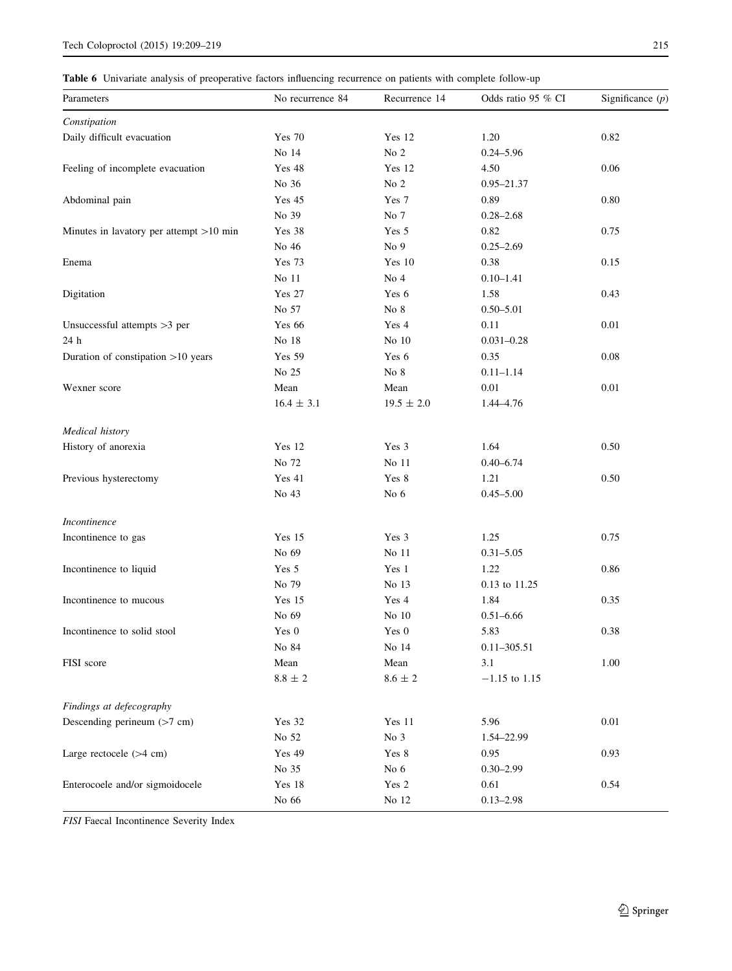<span id="page-6-0"></span>Table 6 Univariate analysis of preoperative factors influencing recurrence on patients with complete follow-up

| Parameters                                | No recurrence 84 | Recurrence 14   | Odds ratio 95 % CI | Significance $(p)$ |
|-------------------------------------------|------------------|-----------------|--------------------|--------------------|
| Constipation                              |                  |                 |                    |                    |
| Daily difficult evacuation                | <b>Yes 70</b>    | Yes 12          | 1.20               | 0.82               |
|                                           | No 14            | No 2            | $0.24 - 5.96$      |                    |
| Feeling of incomplete evacuation          | Yes 48           | Yes 12          | 4.50               | 0.06               |
|                                           | No 36            | No $2$          | $0.95 - 21.37$     |                    |
| Abdominal pain                            | Yes 45           | Yes 7           | 0.89               | 0.80               |
|                                           | No 39            | No 7            | $0.28 - 2.68$      |                    |
| Minutes in lavatory per attempt $>10$ min | Yes 38           | Yes 5           | 0.82               | 0.75               |
|                                           | No 46            | No 9            | $0.25 - 2.69$      |                    |
| Enema                                     | <b>Yes 73</b>    | Yes 10          | 0.38               | 0.15               |
|                                           | No 11            | No 4            | $0.10 - 1.41$      |                    |
| Digitation                                | <b>Yes 27</b>    | Yes 6           | 1.58               | 0.43               |
|                                           | No 57            | No 8            | $0.50 - 5.01$      |                    |
| Unsuccessful attempts >3 per              | <b>Yes 66</b>    | Yes 4           | 0.11               | 0.01               |
| 24 h                                      | No 18            | No 10           | $0.031 - 0.28$     |                    |
| Duration of constipation >10 years        | <b>Yes 59</b>    | Yes 6           | 0.35               | 0.08               |
|                                           | No 25            | No $8\,$        | $0.11 - 1.14$      |                    |
| Wexner score                              | Mean             | Mean            | 0.01               | 0.01               |
|                                           | $16.4 \pm 3.1$   | $19.5 \pm 2.0$  | 1.44-4.76          |                    |
| Medical history                           |                  |                 |                    |                    |
| History of anorexia                       | Yes 12           | Yes 3           | 1.64               | 0.50               |
|                                           | No 72            | No 11           | $0.40 - 6.74$      |                    |
| Previous hysterectomy                     | Yes 41           | Yes 8           | 1.21               | 0.50               |
|                                           | No 43            | No 6            | $0.45 - 5.00$      |                    |
| Incontinence                              |                  |                 |                    |                    |
| Incontinence to gas                       | Yes 15           | Yes 3           | 1.25               | 0.75               |
|                                           | No 69            | No 11           | $0.31 - 5.05$      |                    |
| Incontinence to liquid                    | Yes 5            | Yes 1           | 1.22               | 0.86               |
|                                           | No 79            | No 13           | 0.13 to 11.25      |                    |
| Incontinence to mucous                    | Yes 15           | Yes 4           | 1.84               | 0.35               |
|                                           | No 69            | No 10           | $0.51 - 6.66$      |                    |
| Incontinence to solid stool               | Yes 0            | Yes 0           | 5.83               | 0.38               |
|                                           | No 84            | No 14           | $0.11 - 305.51$    |                    |
| FISI score                                | Mean             | Mean            | 3.1                | 1.00               |
|                                           | $8.8\,\pm\,2$    | $8.6$ $\pm$ $2$ | $-1.15$ to 1.15    |                    |
| Findings at defecography                  |                  |                 |                    |                    |
| Descending perineum (>7 cm)               | Yes 32           | Yes 11          | 5.96               | 0.01               |
|                                           | No 52            | No 3            | 1.54-22.99         |                    |
| Large rectocele (>4 cm)                   | <b>Yes 49</b>    | Yes 8           | 0.95               | 0.93               |
|                                           | No 35            | No $6$          | $0.30 - 2.99$      |                    |
| Enterocoele and/or sigmoidocele           | Yes 18           | Yes 2           | 0.61               | 0.54               |
|                                           | No 66            | No 12           | $0.13 - 2.98$      |                    |

FISI Faecal Incontinence Severity Index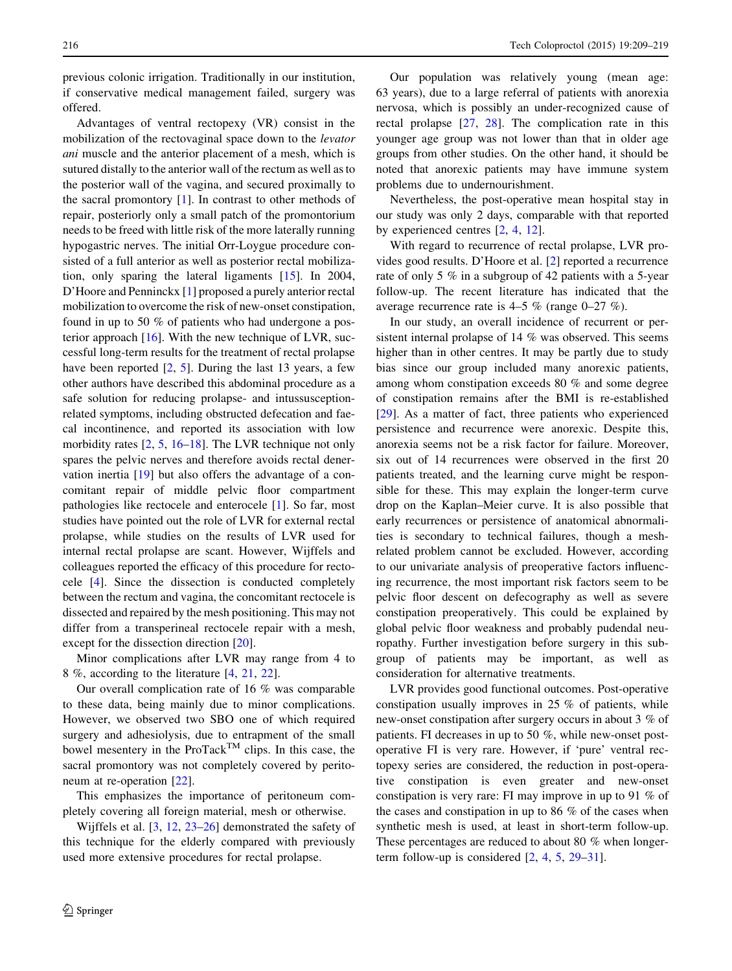previous colonic irrigation. Traditionally in our institution, if conservative medical management failed, surgery was offered.

Advantages of ventral rectopexy (VR) consist in the mobilization of the rectovaginal space down to the levator ani muscle and the anterior placement of a mesh, which is sutured distally to the anterior wall of the rectum as well as to the posterior wall of the vagina, and secured proximally to the sacral promontory  $[1]$  $[1]$ . In contrast to other methods of repair, posteriorly only a small patch of the promontorium needs to be freed with little risk of the more laterally running hypogastric nerves. The initial Orr-Loygue procedure consisted of a full anterior as well as posterior rectal mobilization, only sparing the lateral ligaments [[15\]](#page-9-0). In 2004, D'Hoore and Penninckx [[1\]](#page-9-0) proposed a purely anterior rectal mobilization to overcome the risk of new-onset constipation, found in up to 50 % of patients who had undergone a posterior approach  $[16]$  $[16]$ . With the new technique of LVR, successful long-term results for the treatment of rectal prolapse have been reported  $[2, 5]$  $[2, 5]$  $[2, 5]$  $[2, 5]$ . During the last 13 years, a few other authors have described this abdominal procedure as a safe solution for reducing prolapse- and intussusceptionrelated symptoms, including obstructed defecation and faecal incontinence, and reported its association with low morbidity rates [\[2](#page-9-0), [5,](#page-9-0) [16–18](#page-9-0)]. The LVR technique not only spares the pelvic nerves and therefore avoids rectal denervation inertia [\[19](#page-9-0)] but also offers the advantage of a concomitant repair of middle pelvic floor compartment pathologies like rectocele and enterocele [[1\]](#page-9-0). So far, most studies have pointed out the role of LVR for external rectal prolapse, while studies on the results of LVR used for internal rectal prolapse are scant. However, Wijffels and colleagues reported the efficacy of this procedure for rectocele [\[4](#page-9-0)]. Since the dissection is conducted completely between the rectum and vagina, the concomitant rectocele is dissected and repaired by the mesh positioning. This may not differ from a transperineal rectocele repair with a mesh, except for the dissection direction [[20\]](#page-9-0).

Minor complications after LVR may range from 4 to 8 %, according to the literature [[4,](#page-9-0) [21,](#page-9-0) [22\]](#page-9-0).

Our overall complication rate of 16 % was comparable to these data, being mainly due to minor complications. However, we observed two SBO one of which required surgery and adhesiolysis, due to entrapment of the small bowel mesentery in the ProTack<sup>TM</sup> clips. In this case, the sacral promontory was not completely covered by peritoneum at re-operation [[22\]](#page-9-0).

This emphasizes the importance of peritoneum completely covering all foreign material, mesh or otherwise.

Wijffels et al. [[3,](#page-9-0) [12,](#page-9-0) [23–26](#page-9-0)] demonstrated the safety of this technique for the elderly compared with previously used more extensive procedures for rectal prolapse.

Our population was relatively young (mean age: 63 years), due to a large referral of patients with anorexia nervosa, which is possibly an under-recognized cause of rectal prolapse [[27,](#page-9-0) [28](#page-9-0)]. The complication rate in this younger age group was not lower than that in older age groups from other studies. On the other hand, it should be noted that anorexic patients may have immune system problems due to undernourishment.

Nevertheless, the post-operative mean hospital stay in our study was only 2 days, comparable with that reported by experienced centres [\[2](#page-9-0), [4](#page-9-0), [12\]](#page-9-0).

With regard to recurrence of rectal prolapse, LVR provides good results. D'Hoore et al. [[2\]](#page-9-0) reported a recurrence rate of only 5 % in a subgroup of 42 patients with a 5-year follow-up. The recent literature has indicated that the average recurrence rate is 4–5 % (range 0–27 %).

In our study, an overall incidence of recurrent or persistent internal prolapse of 14 % was observed. This seems higher than in other centres. It may be partly due to study bias since our group included many anorexic patients, among whom constipation exceeds 80 % and some degree of constipation remains after the BMI is re-established [\[29](#page-9-0)]. As a matter of fact, three patients who experienced persistence and recurrence were anorexic. Despite this, anorexia seems not be a risk factor for failure. Moreover, six out of 14 recurrences were observed in the first 20 patients treated, and the learning curve might be responsible for these. This may explain the longer-term curve drop on the Kaplan–Meier curve. It is also possible that early recurrences or persistence of anatomical abnormalities is secondary to technical failures, though a meshrelated problem cannot be excluded. However, according to our univariate analysis of preoperative factors influencing recurrence, the most important risk factors seem to be pelvic floor descent on defecography as well as severe constipation preoperatively. This could be explained by global pelvic floor weakness and probably pudendal neuropathy. Further investigation before surgery in this subgroup of patients may be important, as well as consideration for alternative treatments.

LVR provides good functional outcomes. Post-operative constipation usually improves in 25 % of patients, while new-onset constipation after surgery occurs in about 3 % of patients. FI decreases in up to 50 %, while new-onset postoperative FI is very rare. However, if 'pure' ventral rectopexy series are considered, the reduction in post-operative constipation is even greater and new-onset constipation is very rare: FI may improve in up to 91 % of the cases and constipation in up to 86 % of the cases when synthetic mesh is used, at least in short-term follow-up. These percentages are reduced to about 80 % when longerterm follow-up is considered [[2,](#page-9-0) [4](#page-9-0), [5](#page-9-0), [29–31\]](#page-9-0).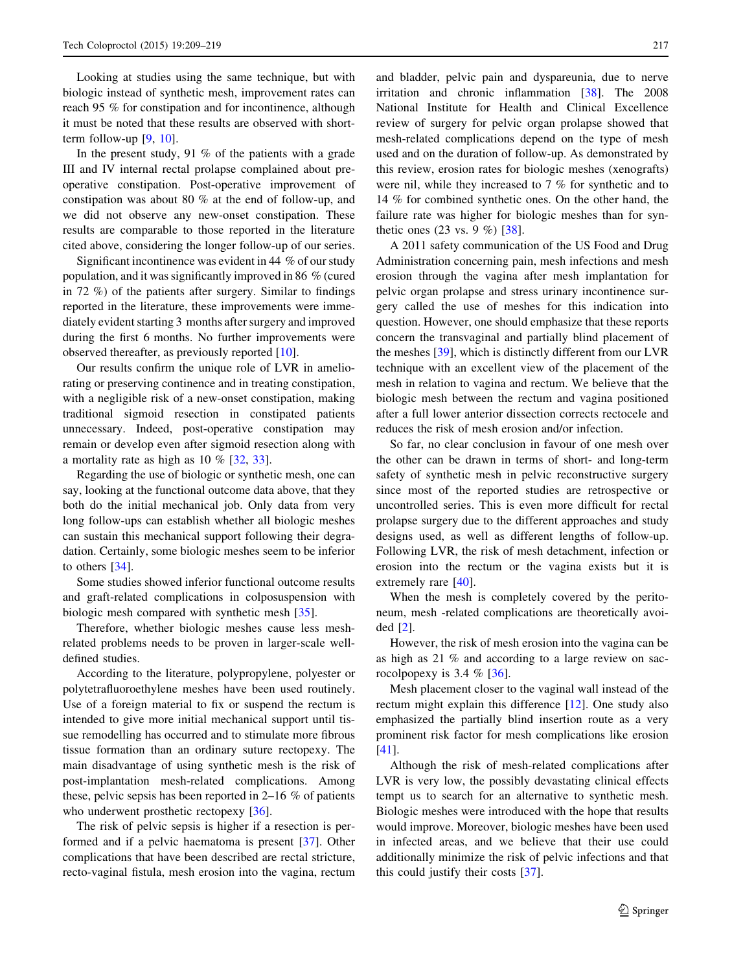Looking at studies using the same technique, but with biologic instead of synthetic mesh, improvement rates can reach 95 % for constipation and for incontinence, although it must be noted that these results are observed with shortterm follow-up [[9,](#page-9-0) [10\]](#page-9-0).

In the present study, 91 % of the patients with a grade III and IV internal rectal prolapse complained about preoperative constipation. Post-operative improvement of constipation was about 80 % at the end of follow-up, and we did not observe any new-onset constipation. These results are comparable to those reported in the literature cited above, considering the longer follow-up of our series.

Significant incontinence was evident in 44 % of our study population, and it was significantly improved in 86 % (cured in 72 %) of the patients after surgery. Similar to findings reported in the literature, these improvements were immediately evident starting 3 months after surgery and improved during the first 6 months. No further improvements were observed thereafter, as previously reported [[10\]](#page-9-0).

Our results confirm the unique role of LVR in ameliorating or preserving continence and in treating constipation, with a negligible risk of a new-onset constipation, making traditional sigmoid resection in constipated patients unnecessary. Indeed, post-operative constipation may remain or develop even after sigmoid resection along with a mortality rate as high as 10 % [[32,](#page-9-0) [33\]](#page-9-0).

Regarding the use of biologic or synthetic mesh, one can say, looking at the functional outcome data above, that they both do the initial mechanical job. Only data from very long follow-ups can establish whether all biologic meshes can sustain this mechanical support following their degradation. Certainly, some biologic meshes seem to be inferior to others [\[34](#page-9-0)].

Some studies showed inferior functional outcome results and graft-related complications in colposuspension with biologic mesh compared with synthetic mesh [[35\]](#page-10-0).

Therefore, whether biologic meshes cause less meshrelated problems needs to be proven in larger-scale welldefined studies.

According to the literature, polypropylene, polyester or polytetrafluoroethylene meshes have been used routinely. Use of a foreign material to fix or suspend the rectum is intended to give more initial mechanical support until tissue remodelling has occurred and to stimulate more fibrous tissue formation than an ordinary suture rectopexy. The main disadvantage of using synthetic mesh is the risk of post-implantation mesh-related complications. Among these, pelvic sepsis has been reported in 2–16 % of patients who underwent prosthetic rectopexy [[36\]](#page-10-0).

The risk of pelvic sepsis is higher if a resection is performed and if a pelvic haematoma is present [[37\]](#page-10-0). Other complications that have been described are rectal stricture, recto-vaginal fistula, mesh erosion into the vagina, rectum

and bladder, pelvic pain and dyspareunia, due to nerve irritation and chronic inflammation [\[38](#page-10-0)]. The 2008 National Institute for Health and Clinical Excellence review of surgery for pelvic organ prolapse showed that mesh-related complications depend on the type of mesh used and on the duration of follow-up. As demonstrated by this review, erosion rates for biologic meshes (xenografts) were nil, while they increased to 7 % for synthetic and to 14 % for combined synthetic ones. On the other hand, the failure rate was higher for biologic meshes than for synthetic ones (23 vs. 9 %) [\[38](#page-10-0)].

A 2011 safety communication of the US Food and Drug Administration concerning pain, mesh infections and mesh erosion through the vagina after mesh implantation for pelvic organ prolapse and stress urinary incontinence surgery called the use of meshes for this indication into question. However, one should emphasize that these reports concern the transvaginal and partially blind placement of the meshes [[39\]](#page-10-0), which is distinctly different from our LVR technique with an excellent view of the placement of the mesh in relation to vagina and rectum. We believe that the biologic mesh between the rectum and vagina positioned after a full lower anterior dissection corrects rectocele and reduces the risk of mesh erosion and/or infection.

So far, no clear conclusion in favour of one mesh over the other can be drawn in terms of short- and long-term safety of synthetic mesh in pelvic reconstructive surgery since most of the reported studies are retrospective or uncontrolled series. This is even more difficult for rectal prolapse surgery due to the different approaches and study designs used, as well as different lengths of follow-up. Following LVR, the risk of mesh detachment, infection or erosion into the rectum or the vagina exists but it is extremely rare [[40\]](#page-10-0).

When the mesh is completely covered by the peritoneum, mesh -related complications are theoretically avoided [\[2](#page-9-0)].

However, the risk of mesh erosion into the vagina can be as high as 21 % and according to a large review on sacrocolpopexy is 3.4  $%$  [\[36](#page-10-0)].

Mesh placement closer to the vaginal wall instead of the rectum might explain this difference [\[12](#page-9-0)]. One study also emphasized the partially blind insertion route as a very prominent risk factor for mesh complications like erosion [\[41](#page-10-0)].

Although the risk of mesh-related complications after LVR is very low, the possibly devastating clinical effects tempt us to search for an alternative to synthetic mesh. Biologic meshes were introduced with the hope that results would improve. Moreover, biologic meshes have been used in infected areas, and we believe that their use could additionally minimize the risk of pelvic infections and that this could justify their costs [[37\]](#page-10-0).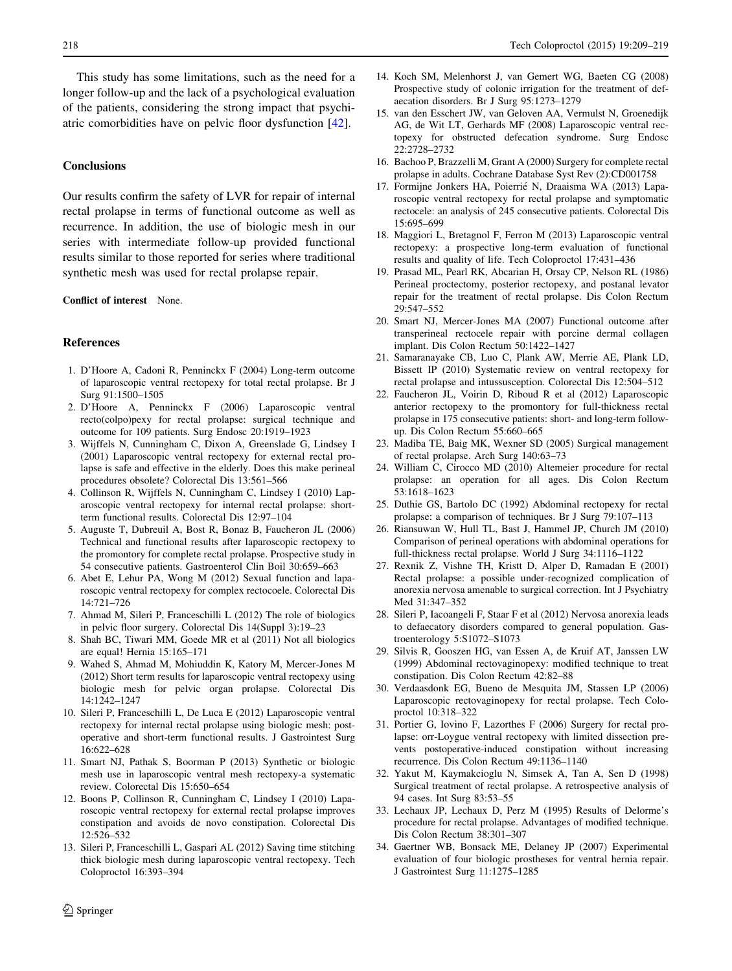<span id="page-9-0"></span>This study has some limitations, such as the need for a longer follow-up and the lack of a psychological evaluation of the patients, considering the strong impact that psychiatric comorbidities have on pelvic floor dysfunction [\[42](#page-10-0)].

# **Conclusions**

Our results confirm the safety of LVR for repair of internal rectal prolapse in terms of functional outcome as well as recurrence. In addition, the use of biologic mesh in our series with intermediate follow-up provided functional results similar to those reported for series where traditional synthetic mesh was used for rectal prolapse repair.

#### Conflict of interest None.

#### References

- 1. D'Hoore A, Cadoni R, Penninckx F (2004) Long-term outcome of laparoscopic ventral rectopexy for total rectal prolapse. Br J Surg 91:1500–1505
- 2. D'Hoore A, Penninckx F (2006) Laparoscopic ventral recto(colpo)pexy for rectal prolapse: surgical technique and outcome for 109 patients. Surg Endosc 20:1919–1923
- 3. Wijffels N, Cunningham C, Dixon A, Greenslade G, Lindsey I (2001) Laparoscopic ventral rectopexy for external rectal prolapse is safe and effective in the elderly. Does this make perineal procedures obsolete? Colorectal Dis 13:561–566
- 4. Collinson R, Wijffels N, Cunningham C, Lindsey I (2010) Laparoscopic ventral rectopexy for internal rectal prolapse: shortterm functional results. Colorectal Dis 12:97–104
- 5. Auguste T, Dubreuil A, Bost R, Bonaz B, Faucheron JL (2006) Technical and functional results after laparoscopic rectopexy to the promontory for complete rectal prolapse. Prospective study in 54 consecutive patients. Gastroenterol Clin Boil 30:659–663
- 6. Abet E, Lehur PA, Wong M (2012) Sexual function and laparoscopic ventral rectopexy for complex rectocoele. Colorectal Dis 14:721–726
- 7. Ahmad M, Sileri P, Franceschilli L (2012) The role of biologics in pelvic floor surgery. Colorectal Dis 14(Suppl 3):19–23
- 8. Shah BC, Tiwari MM, Goede MR et al (2011) Not all biologics are equal! Hernia 15:165–171
- 9. Wahed S, Ahmad M, Mohiuddin K, Katory M, Mercer-Jones M (2012) Short term results for laparoscopic ventral rectopexy using biologic mesh for pelvic organ prolapse. Colorectal Dis 14:1242–1247
- 10. Sileri P, Franceschilli L, De Luca E (2012) Laparoscopic ventral rectopexy for internal rectal prolapse using biologic mesh: postoperative and short-term functional results. J Gastrointest Surg 16:622–628
- 11. Smart NJ, Pathak S, Boorman P (2013) Synthetic or biologic mesh use in laparoscopic ventral mesh rectopexy-a systematic review. Colorectal Dis 15:650–654
- 12. Boons P, Collinson R, Cunningham C, Lindsey I (2010) Laparoscopic ventral rectopexy for external rectal prolapse improves constipation and avoids de novo constipation. Colorectal Dis 12:526–532
- 13. Sileri P, Franceschilli L, Gaspari AL (2012) Saving time stitching thick biologic mesh during laparoscopic ventral rectopexy. Tech Coloproctol 16:393–394
- 14. Koch SM, Melenhorst J, van Gemert WG, Baeten CG (2008) Prospective study of colonic irrigation for the treatment of defaecation disorders. Br J Surg 95:1273–1279
- 15. van den Esschert JW, van Geloven AA, Vermulst N, Groenedijk AG, de Wit LT, Gerhards MF (2008) Laparoscopic ventral rectopexy for obstructed defecation syndrome. Surg Endosc 22:2728–2732
- 16. Bachoo P, Brazzelli M, Grant A (2000) Surgery for complete rectal prolapse in adults. Cochrane Database Syst Rev (2):CD001758
- 17. Formijne Jonkers HA, Poierrié N, Draaisma WA (2013) Laparoscopic ventral rectopexy for rectal prolapse and symptomatic rectocele: an analysis of 245 consecutive patients. Colorectal Dis 15:695–699
- 18. Maggiori L, Bretagnol F, Ferron M (2013) Laparoscopic ventral rectopexy: a prospective long-term evaluation of functional results and quality of life. Tech Coloproctol 17:431–436
- 19. Prasad ML, Pearl RK, Abcarian H, Orsay CP, Nelson RL (1986) Perineal proctectomy, posterior rectopexy, and postanal levator repair for the treatment of rectal prolapse. Dis Colon Rectum 29:547–552
- 20. Smart NJ, Mercer-Jones MA (2007) Functional outcome after transperineal rectocele repair with porcine dermal collagen implant. Dis Colon Rectum 50:1422–1427
- 21. Samaranayake CB, Luo C, Plank AW, Merrie AE, Plank LD, Bissett IP (2010) Systematic review on ventral rectopexy for rectal prolapse and intussusception. Colorectal Dis 12:504–512
- 22. Faucheron JL, Voirin D, Riboud R et al (2012) Laparoscopic anterior rectopexy to the promontory for full-thickness rectal prolapse in 175 consecutive patients: short- and long-term followup. Dis Colon Rectum 55:660–665
- 23. Madiba TE, Baig MK, Wexner SD (2005) Surgical management of rectal prolapse. Arch Surg 140:63–73
- 24. William C, Cirocco MD (2010) Altemeier procedure for rectal prolapse: an operation for all ages. Dis Colon Rectum 53:1618–1623
- 25. Duthie GS, Bartolo DC (1992) Abdominal rectopexy for rectal prolapse: a comparison of techniques. Br J Surg 79:107–113
- 26. Riansuwan W, Hull TL, Bast J, Hammel JP, Church JM (2010) Comparison of perineal operations with abdominal operations for full-thickness rectal prolapse. World J Surg 34:1116–1122
- 27. Rexnik Z, Vishne TH, Kristt D, Alper D, Ramadan E (2001) Rectal prolapse: a possible under-recognized complication of anorexia nervosa amenable to surgical correction. Int J Psychiatry Med 31:347–352
- 28. Sileri P, Iacoangeli F, Staar F et al (2012) Nervosa anorexia leads to defaecatory disorders compared to general population. Gastroenterology 5:S1072–S1073
- 29. Silvis R, Gooszen HG, van Essen A, de Kruif AT, Janssen LW (1999) Abdominal rectovaginopexy: modified technique to treat constipation. Dis Colon Rectum 42:82–88
- 30. Verdaasdonk EG, Bueno de Mesquita JM, Stassen LP (2006) Laparoscopic rectovaginopexy for rectal prolapse. Tech Coloproctol 10:318–322
- 31. Portier G, Iovino F, Lazorthes F (2006) Surgery for rectal prolapse: orr-Loygue ventral rectopexy with limited dissection prevents postoperative-induced constipation without increasing recurrence. Dis Colon Rectum 49:1136–1140
- 32. Yakut M, Kaymakcioglu N, Simsek A, Tan A, Sen D (1998) Surgical treatment of rectal prolapse. A retrospective analysis of 94 cases. Int Surg 83:53–55
- 33. Lechaux JP, Lechaux D, Perz M (1995) Results of Delorme's procedure for rectal prolapse. Advantages of modified technique. Dis Colon Rectum 38:301–307
- 34. Gaertner WB, Bonsack ME, Delaney JP (2007) Experimental evaluation of four biologic prostheses for ventral hernia repair. J Gastrointest Surg 11:1275–1285